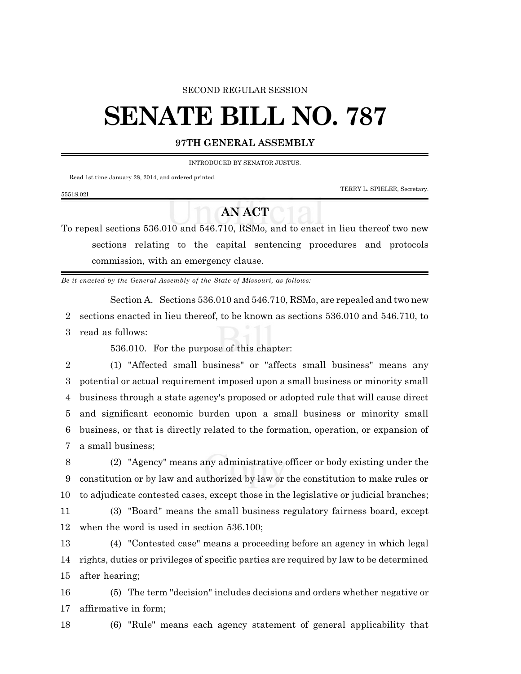## SECOND REGULAR SESSION

## **SENATE BILL NO. 787**

## **97TH GENERAL ASSEMBLY**

INTRODUCED BY SENATOR JUSTUS.

Read 1st time January 28, 2014, and ordered printed.

5551S.02I

TERRY L. SPIELER, Secretary.

To repeal sections 536.010 and 546.710, RSMo, and to enact in lieu thereof two new sections relating to the capital sentencing procedures and protocols commission, with an emergency clause.

**AN ACT**

*Be it enacted by the General Assembly of the State of Missouri, as follows:*

Section A. Sections 536.010 and 546.710, RSMo, are repealed and two new 2 sections enacted in lieu thereof, to be known as sections 536.010 and 546.710, to 3 read as follows:

536.010. For the purpose of this chapter:

 (1) "Affected small business" or "affects small business" means any potential or actual requirement imposed upon a small business or minority small business through a state agency's proposed or adopted rule that will cause direct and significant economic burden upon a small business or minority small business, or that is directly related to the formation, operation, or expansion of a small business;

8 (2) "Agency" means any administrative officer or body existing under the 9 constitution or by law and authorized by law or the constitution to make rules or 10 to adjudicate contested cases, except those in the legislative or judicial branches;

11 (3) "Board" means the small business regulatory fairness board, except 12 when the word is used in section 536.100;

13 (4) "Contested case" means a proceeding before an agency in which legal 14 rights, duties or privileges of specific parties are required by law to be determined 15 after hearing;

16 (5) The term "decision" includes decisions and orders whether negative or 17 affirmative in form;

18 (6) "Rule" means each agency statement of general applicability that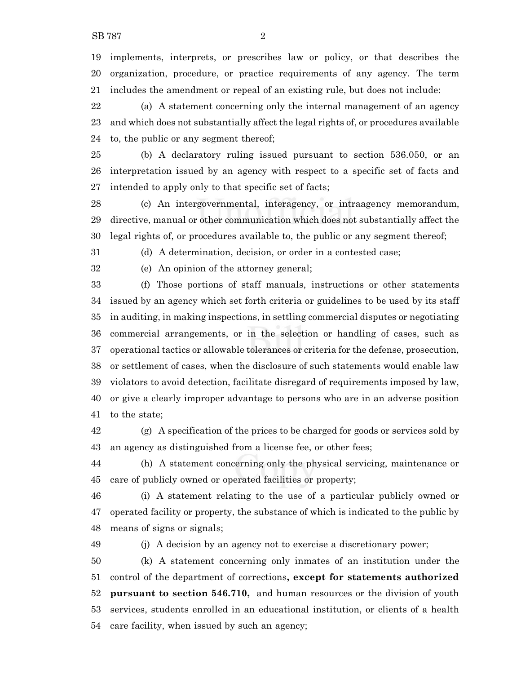implements, interprets, or prescribes law or policy, or that describes the organization, procedure, or practice requirements of any agency. The term includes the amendment or repeal of an existing rule, but does not include:

 (a) A statement concerning only the internal management of an agency and which does not substantially affect the legal rights of, or procedures available to, the public or any segment thereof;

 (b) A declaratory ruling issued pursuant to section 536.050, or an interpretation issued by an agency with respect to a specific set of facts and intended to apply only to that specific set of facts;

 (c) An intergovernmental, interagency, or intraagency memorandum, directive, manual or other communication which does not substantially affect the legal rights of, or procedures available to, the public or any segment thereof;

(d) A determination, decision, or order in a contested case;

(e) An opinion of the attorney general;

 (f) Those portions of staff manuals, instructions or other statements issued by an agency which set forth criteria or guidelines to be used by its staff in auditing, in making inspections, in settling commercial disputes or negotiating commercial arrangements, or in the selection or handling of cases, such as operational tactics or allowable tolerances or criteria for the defense, prosecution, or settlement of cases, when the disclosure of such statements would enable law violators to avoid detection, facilitate disregard of requirements imposed by law, or give a clearly improper advantage to persons who are in an adverse position to the state;

 (g) A specification of the prices to be charged for goods or services sold by an agency as distinguished from a license fee, or other fees;

 (h) A statement concerning only the physical servicing, maintenance or care of publicly owned or operated facilities or property;

 (i) A statement relating to the use of a particular publicly owned or operated facility or property, the substance of which is indicated to the public by means of signs or signals;

(j) A decision by an agency not to exercise a discretionary power;

 (k) A statement concerning only inmates of an institution under the control of the department of corrections**, except for statements authorized pursuant to section 546.710,** and human resources or the division of youth services, students enrolled in an educational institution, or clients of a health care facility, when issued by such an agency;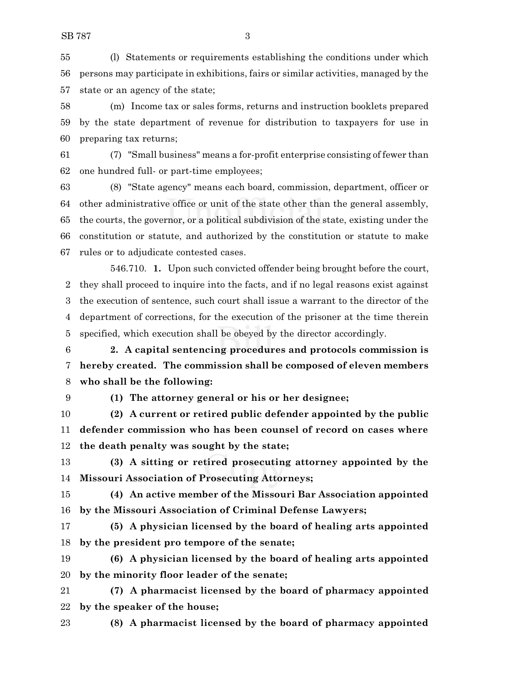(l) Statements or requirements establishing the conditions under which persons may participate in exhibitions, fairs or similar activities, managed by the state or an agency of the state;

 (m) Income tax or sales forms, returns and instruction booklets prepared by the state department of revenue for distribution to taxpayers for use in preparing tax returns;

 (7) "Small business" means a for-profit enterprise consisting of fewer than one hundred full- or part-time employees;

 (8) "State agency" means each board, commission, department, officer or other administrative office or unit of the state other than the general assembly, the courts, the governor, or a political subdivision of the state, existing under the constitution or statute, and authorized by the constitution or statute to make rules or to adjudicate contested cases.

546.710. **1.** Upon such convicted offender being brought before the court, they shall proceed to inquire into the facts, and if no legal reasons exist against the execution of sentence, such court shall issue a warrant to the director of the department of corrections, for the execution of the prisoner at the time therein specified, which execution shall be obeyed by the director accordingly.

 **2. A capital sentencing procedures and protocols commission is hereby created. The commission shall be composed of eleven members who shall be the following:**

**(1) The attorney general or his or her designee;**

 **(2) A current or retired public defender appointed by the public defender commission who has been counsel of record on cases where the death penalty was sought by the state;**

 **(3) A sitting or retired prosecuting attorney appointed by the Missouri Association of Prosecuting Attorneys;**

 **(4) An active member of the Missouri Bar Association appointed by the Missouri Association of Criminal Defense Lawyers;**

 **(5) A physician licensed by the board of healing arts appointed by the president pro tempore of the senate;**

 **(6) A physician licensed by the board of healing arts appointed by the minority floor leader of the senate;**

 **(7) A pharmacist licensed by the board of pharmacy appointed by the speaker of the house;**

**(8) A pharmacist licensed by the board of pharmacy appointed**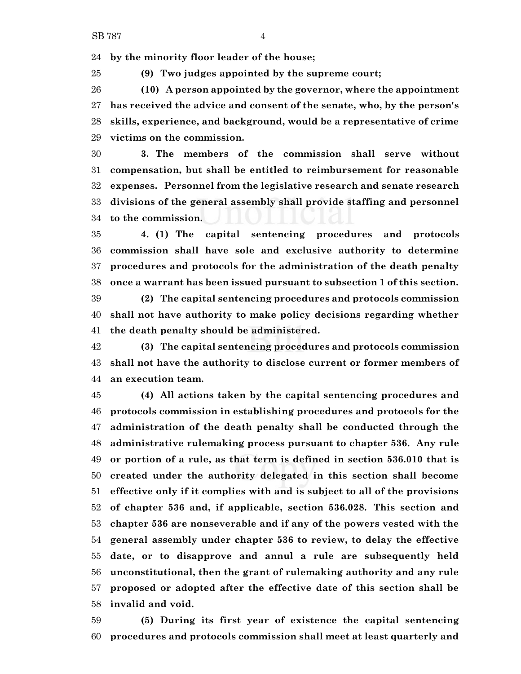**by the minority floor leader of the house;**

**(9) Two judges appointed by the supreme court;**

 **(10) A person appointed by the governor, where the appointment has received the advice and consent of the senate, who, by the person's skills, experience, and background, would be a representative of crime victims on the commission.**

 **3. The members of the commission shall serve without compensation, but shall be entitled to reimbursement for reasonable expenses. Personnel from the legislative research and senate research divisions of the general assembly shall provide staffing and personnel to the commission.**

 **4. (1) The capital sentencing procedures and protocols commission shall have sole and exclusive authority to determine procedures and protocols for the administration of the death penalty once a warrant has been issued pursuant to subsection 1 of this section.**

 **(2) The capital sentencing procedures and protocols commission shall not have authority to make policy decisions regarding whether the death penalty should be administered.**

 **(3) The capital sentencing procedures and protocols commission shall not have the authority to disclose current or former members of an execution team.**

 **(4) All actions taken by the capital sentencing procedures and protocols commission in establishing procedures and protocols for the administration of the death penalty shall be conducted through the administrative rulemaking process pursuant to chapter 536. Any rule or portion of a rule, as that term is defined in section 536.010 that is created under the authority delegated in this section shall become effective only if it complies with and is subject to all of the provisions of chapter 536 and, if applicable, section 536.028. This section and chapter 536 are nonseverable and if any of the powers vested with the general assembly under chapter 536 to review, to delay the effective date, or to disapprove and annul a rule are subsequently held unconstitutional, then the grant of rulemaking authority and any rule proposed or adopted after the effective date of this section shall be invalid and void.**

 **(5) During its first year of existence the capital sentencing procedures and protocols commission shall meet at least quarterly and**